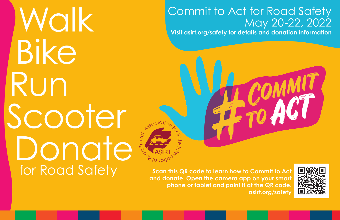**Walk<br>Bike** Run Scooter **Donate For Road Safety** Scan this QR code to learn how to Commit to Act **Scan the Secon this CR** code to learn how to Commit to Act

## Commit to Act for Road Safety May 20-22, 2022

**Visit asirt.org/safety for details and donation information**



**and donate. Open the camera app on your smart phone or tablet and point it at the QR code. asirt.org/safety**

 $\gamma_{2}$  $\mathcal{P}$ 

a<sub>l</sub> vouoi

Ool آ arave<sub>l</sub>